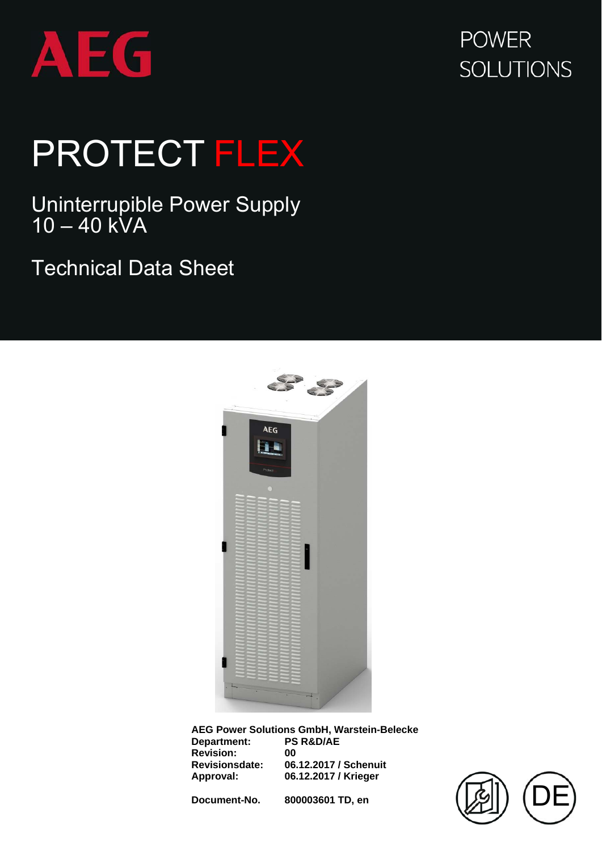

## **POWER SOLUTIONS**

## PROTECT FLEX

Uninterrupible Power Supply  $10 - 40$  kVA

Technical Data Sheet



**AEG Power Solutions GmbH, Warstein-Belecke Department: Revision:** 00<br> **Revisionsdate: 06**<br> **Annexal Revisionsdate: 06.12.2017 / Schenuit Approval: 06.12.2017 / Krieger** 

**Document-No. 800003601 TD, en** 

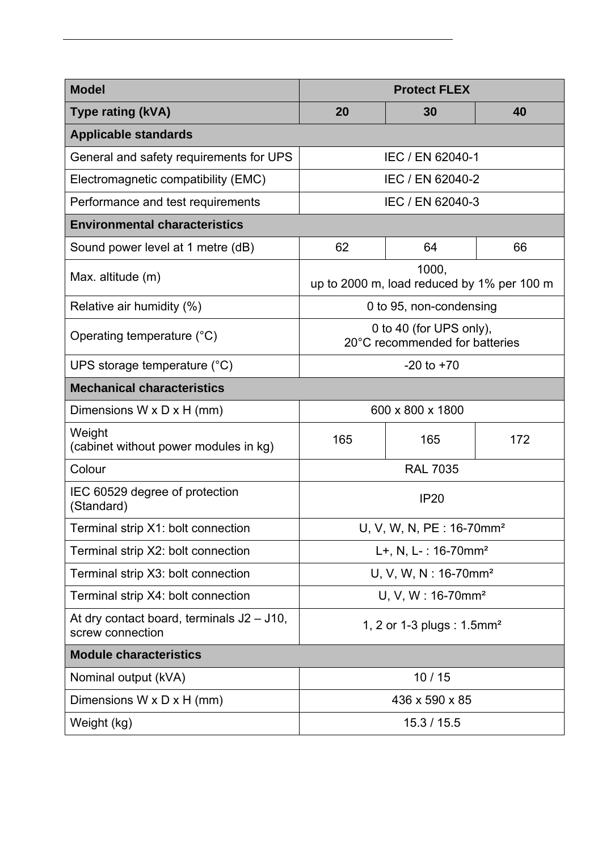| <b>Model</b>                                                     | <b>Protect FLEX</b>                                       |                  |     |  |  |
|------------------------------------------------------------------|-----------------------------------------------------------|------------------|-----|--|--|
| <b>Type rating (kVA)</b>                                         | 20                                                        | 30               | 40  |  |  |
| <b>Applicable standards</b>                                      |                                                           |                  |     |  |  |
| General and safety requirements for UPS                          |                                                           | IEC / EN 62040-1 |     |  |  |
| Electromagnetic compatibility (EMC)                              | IEC / EN 62040-2                                          |                  |     |  |  |
| Performance and test requirements                                | IEC / EN 62040-3                                          |                  |     |  |  |
| <b>Environmental characteristics</b>                             |                                                           |                  |     |  |  |
| Sound power level at 1 metre (dB)                                | 62                                                        | 64               | 66  |  |  |
| Max. altitude (m)                                                | 1000,<br>up to 2000 m, load reduced by 1% per 100 m       |                  |     |  |  |
| Relative air humidity (%)                                        | 0 to 95, non-condensing                                   |                  |     |  |  |
| Operating temperature (°C)                                       | 0 to 40 (for UPS only),<br>20°C recommended for batteries |                  |     |  |  |
| UPS storage temperature (°C)                                     |                                                           | $-20$ to $+70$   |     |  |  |
| <b>Mechanical characteristics</b>                                |                                                           |                  |     |  |  |
| Dimensions $W \times D \times H$ (mm)                            | 600 x 800 x 1800                                          |                  |     |  |  |
| Weight<br>(cabinet without power modules in kg)                  | 165                                                       | 165              | 172 |  |  |
| Colour                                                           | <b>RAL 7035</b>                                           |                  |     |  |  |
| IEC 60529 degree of protection<br>(Standard)                     | <b>IP20</b>                                               |                  |     |  |  |
| Terminal strip X1: bolt connection                               | U, V, W, N, PE : 16-70mm <sup>2</sup>                     |                  |     |  |  |
| Terminal strip X2: bolt connection                               | $L+$ , N, L-: 16-70mm <sup>2</sup>                        |                  |     |  |  |
| Terminal strip X3: bolt connection                               | U, V, W, N: 16-70mm <sup>2</sup>                          |                  |     |  |  |
| Terminal strip X4: bolt connection                               | U, V, W: 16-70mm <sup>2</sup>                             |                  |     |  |  |
| At dry contact board, terminals $J2 - J10$ ,<br>screw connection | 1, 2 or 1-3 plugs : 1.5mm <sup>2</sup>                    |                  |     |  |  |
| <b>Module characteristics</b>                                    |                                                           |                  |     |  |  |
| Nominal output (kVA)                                             | 10/15                                                     |                  |     |  |  |
| Dimensions $W \times D \times H$ (mm)                            | 436 x 590 x 85                                            |                  |     |  |  |
| Weight (kg)                                                      | 15.3 / 15.5                                               |                  |     |  |  |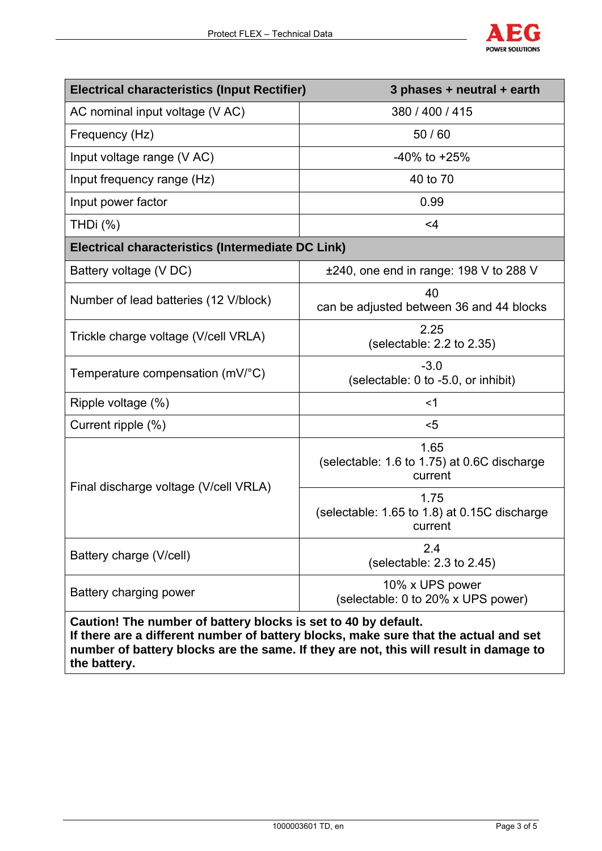

| <b>Electrical characteristics (Input Rectifier)</b>            | 3 phases + neutral + earth                                                           |  |  |  |  |
|----------------------------------------------------------------|--------------------------------------------------------------------------------------|--|--|--|--|
| AC nominal input voltage (V AC)                                | 380 / 400 / 415                                                                      |  |  |  |  |
| Frequency (Hz)                                                 | 50 / 60                                                                              |  |  |  |  |
| Input voltage range (V AC)                                     | $-40\%$ to $+25\%$                                                                   |  |  |  |  |
| Input frequency range (Hz)                                     | 40 to 70                                                                             |  |  |  |  |
| Input power factor                                             | 0.99                                                                                 |  |  |  |  |
| THDi $(%)$                                                     | $<$ 4                                                                                |  |  |  |  |
| <b>Electrical characteristics (Intermediate DC Link)</b>       |                                                                                      |  |  |  |  |
| Battery voltage (V DC)                                         | $\pm 240$ , one end in range: 198 V to 288 V                                         |  |  |  |  |
| Number of lead batteries (12 V/block)                          | 40<br>can be adjusted between 36 and 44 blocks                                       |  |  |  |  |
| Trickle charge voltage (V/cell VRLA)                           | 2.25<br>(selectable: $2.2$ to $2.35$ )                                               |  |  |  |  |
| Temperature compensation (mV/°C)                               | $-3.0$<br>(selectable: 0 to -5.0, or inhibit)                                        |  |  |  |  |
| Ripple voltage (%)                                             | $<$ 1                                                                                |  |  |  |  |
| Current ripple (%)                                             | $<$ 5                                                                                |  |  |  |  |
| Final discharge voltage (V/cell VRLA)                          | 1.65<br>(selectable: 1.6 to 1.75) at 0.6C discharge<br>current                       |  |  |  |  |
|                                                                | 1.75<br>(selectable: 1.65 to 1.8) at 0.15C discharge<br>current                      |  |  |  |  |
| Battery charge (V/cell)                                        | 2.4<br>(selectable: $2.3$ to $2.45$ )                                                |  |  |  |  |
| Battery charging power                                         | 10% x UPS power<br>(selectable: 0 to 20% x UPS power)                                |  |  |  |  |
| Caution! The number of battery blocks is set to 40 by default. | If there are a different number of battery blocks, make sure that the actual and set |  |  |  |  |

**number of battery blocks are the same. If they are not, this will result in damage to the battery.**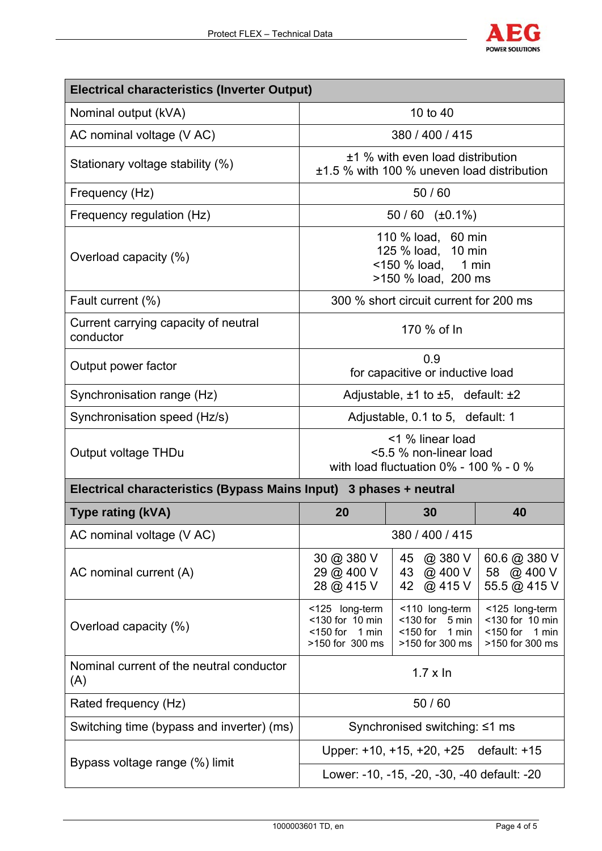

| <b>Electrical characteristics (Inverter Output)</b>                |                                                                                               |                                                                                   |                                                                              |  |  |  |
|--------------------------------------------------------------------|-----------------------------------------------------------------------------------------------|-----------------------------------------------------------------------------------|------------------------------------------------------------------------------|--|--|--|
| Nominal output (kVA)                                               | 10 to 40                                                                                      |                                                                                   |                                                                              |  |  |  |
| AC nominal voltage (V AC)                                          | 380 / 400 / 415                                                                               |                                                                                   |                                                                              |  |  |  |
| Stationary voltage stability (%)                                   | ±1 % with even load distribution<br>±1.5 % with 100 % uneven load distribution                |                                                                                   |                                                                              |  |  |  |
| Frequency (Hz)                                                     | 50/60                                                                                         |                                                                                   |                                                                              |  |  |  |
| Frequency regulation (Hz)                                          | $50/60$ (±0.1%)                                                                               |                                                                                   |                                                                              |  |  |  |
| Overload capacity (%)                                              | 110 % load, 60 min<br>125 % load, 10 min<br><150 % load, 1 min<br>>150 % load, 200 ms         |                                                                                   |                                                                              |  |  |  |
| Fault current (%)                                                  | 300 % short circuit current for 200 ms                                                        |                                                                                   |                                                                              |  |  |  |
| Current carrying capacity of neutral<br>conductor                  | 170 % of In                                                                                   |                                                                                   |                                                                              |  |  |  |
| Output power factor                                                | 0.9<br>for capacitive or inductive load                                                       |                                                                                   |                                                                              |  |  |  |
| Synchronisation range (Hz)                                         | Adjustable, $\pm 1$ to $\pm 5$ , default: $\pm 2$                                             |                                                                                   |                                                                              |  |  |  |
| Synchronisation speed (Hz/s)                                       | Adjustable, 0.1 to 5, default: 1                                                              |                                                                                   |                                                                              |  |  |  |
| Output voltage THDu                                                | <1 % linear load<br><5.5 % non-linear load<br>with load fluctuation $0\%$ - 100 $\%$ - 0 $\%$ |                                                                                   |                                                                              |  |  |  |
| Electrical characteristics (Bypass Mains Input) 3 phases + neutral |                                                                                               |                                                                                   |                                                                              |  |  |  |
| <b>Type rating (kVA)</b>                                           | 20                                                                                            | 30                                                                                | 40                                                                           |  |  |  |
| AC nominal voltage (V AC)                                          | 380 / 400 / 415                                                                               |                                                                                   |                                                                              |  |  |  |
| AC nominal current (A)                                             | 30 @ 380 V<br>29 @ 400 V<br>28 @ 415 V                                                        | @ 380 V<br>45<br>@ 400 V<br>43<br>@ 415 V<br>42                                   | 60.6 @ 380 V<br>58 @ 400 V<br>55.5 @ 415 V                                   |  |  |  |
| Overload capacity (%)                                              | <125 long-term<br><130 for 10 min<br>$<$ 150 for 1 min<br>>150 for 300 ms                     | <110 long-term<br>$<$ 130 for<br>5 min<br>$<$ 150 for<br>1 min<br>>150 for 300 ms | <125 long-term<br><130 for 10 min<br>$<$ 150 for<br>1 min<br>>150 for 300 ms |  |  |  |
| Nominal current of the neutral conductor<br>(A)                    | $1.7 \times \ln$                                                                              |                                                                                   |                                                                              |  |  |  |
| Rated frequency (Hz)                                               | 50/60                                                                                         |                                                                                   |                                                                              |  |  |  |
| Switching time (bypass and inverter) (ms)                          | Synchronised switching: ≤1 ms                                                                 |                                                                                   |                                                                              |  |  |  |
| Bypass voltage range (%) limit                                     | default: +15<br>Upper: +10, +15, +20, +25                                                     |                                                                                   |                                                                              |  |  |  |
|                                                                    | Lower: -10, -15, -20, -30, -40 default: -20                                                   |                                                                                   |                                                                              |  |  |  |